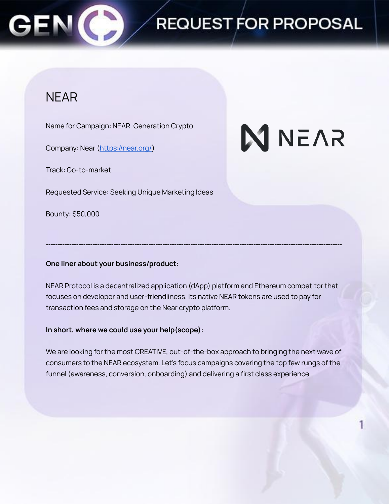

# REQUEST FOR PROPOSAL

### NEAR

Name for Campaign: NEAR. Generation Crypto

Company: Near (<https://near.org/>)

Track: Go-to-market

Requested Service: Seeking Unique Marketing Ideas

Bounty: \$50,000

# **NNEVS**

### **One liner about your business/product:**

NEAR Protocol is a decentralized application (dApp) platform and Ethereum competitor that focuses on developer and user-friendliness. Its native NEAR tokens are used to pay for transaction fees and storage on the Near crypto platform.

**-------------------------------------------------------------------------------------------------------------------------------**

### **In short, where we could use your help(scope):**

We are looking for the most CREATIVE, out-of-the-box approach to bringing the next wave of consumers to the NEAR ecosystem. Let's focus campaigns covering the top few rungs of the funnel (awareness, conversion, onboarding) and delivering a first class experience.